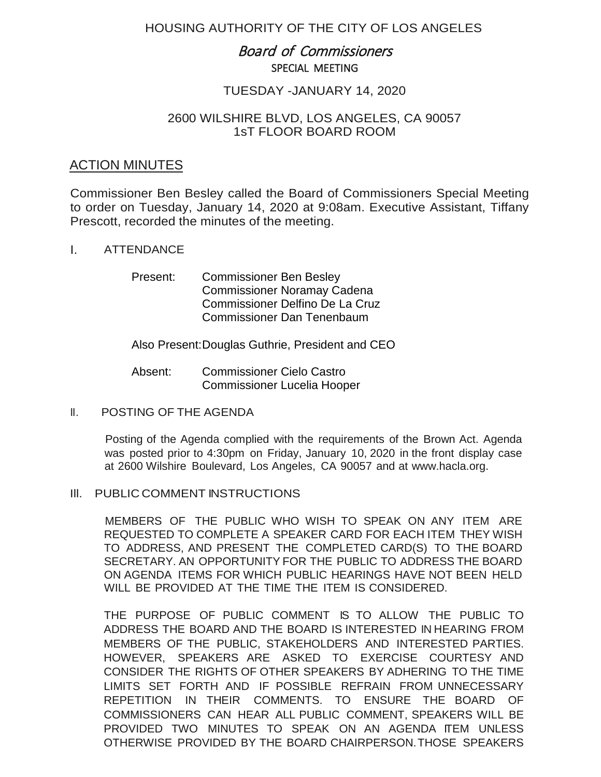# HOUSING AUTHORITY OF THE CITY OF LOS ANGELES

# Board of Commissioners SPECIAL MEETING

# TUESDAY -JANUARY 14, 2020

## 2600 WILSHIRE BLVD, LOS ANGELES, CA 90057 1sT FLOOR BOARD ROOM

# ACTION MINUTES

Commissioner Ben Besley called the Board of Commissioners Special Meeting to order on Tuesday, January 14, 2020 at 9:08am. Executive Assistant, Tiffany Prescott, recorded the minutes of the meeting.

### I. ATTENDANCE

Present: Commissioner Ben Besley Commissioner Noramay Cadena Commissioner Delfino De La Cruz Commissioner Dan Tenenbaum

### Also Present:Douglas Guthrie, President and CEO

- Absent: Commissioner Cielo Castro Commissioner Lucelia Hooper
- II. POSTING OF THE AGENDA

Posting of the Agenda complied with the requirements of the Brown Act. Agenda was posted prior to 4:30pm on Friday, January 10, 2020 in the front display case at 2600 Wilshire Boulevard, Los Angeles, CA 90057 and at [www.hacla.org.](http://www.hacla.org/)

#### Ill. PUBLIC COMMENT INSTRUCTIONS

MEMBERS OF THE PUBLIC WHO WISH TO SPEAK ON ANY ITEM ARE REQUESTED TO COMPLETE A SPEAKER CARD FOR EACH ITEM THEY WISH TO ADDRESS, AND PRESENT THE COMPLETED CARD(S) TO THE BOARD SECRETARY. AN OPPORTUNITY FOR THE PUBLIC TO ADDRESS THE BOARD ON AGENDA ITEMS FOR WHICH PUBLIC HEARINGS HAVE NOT BEEN HELD WILL BE PROVIDED AT THE TIME THE ITEM IS CONSIDERED.

THE PURPOSE OF PUBLIC COMMENT IS TO ALLOW THE PUBLIC TO ADDRESS THE BOARD AND THE BOARD IS INTERESTED IN HEARING FROM MEMBERS OF THE PUBLIC, STAKEHOLDERS AND INTERESTED PARTIES. HOWEVER, SPEAKERS ARE ASKED TO EXERCISE COURTESY AND CONSIDER THE RIGHTS OF OTHER SPEAKERS BY ADHERING TO THE TIME LIMITS SET FORTH AND IF POSSIBLE REFRAIN FROM UNNECESSARY REPETITION IN THEIR COMMENTS. TO ENSURE THE BOARD OF COMMISSIONERS CAN HEAR ALL PUBLIC COMMENT, SPEAKERS WILL BE PROVIDED TWO MINUTES TO SPEAK ON AN AGENDA ITEM UNLESS OTHERWISE PROVIDED BY THE BOARD CHAIRPERSON. THOSE SPEAKERS